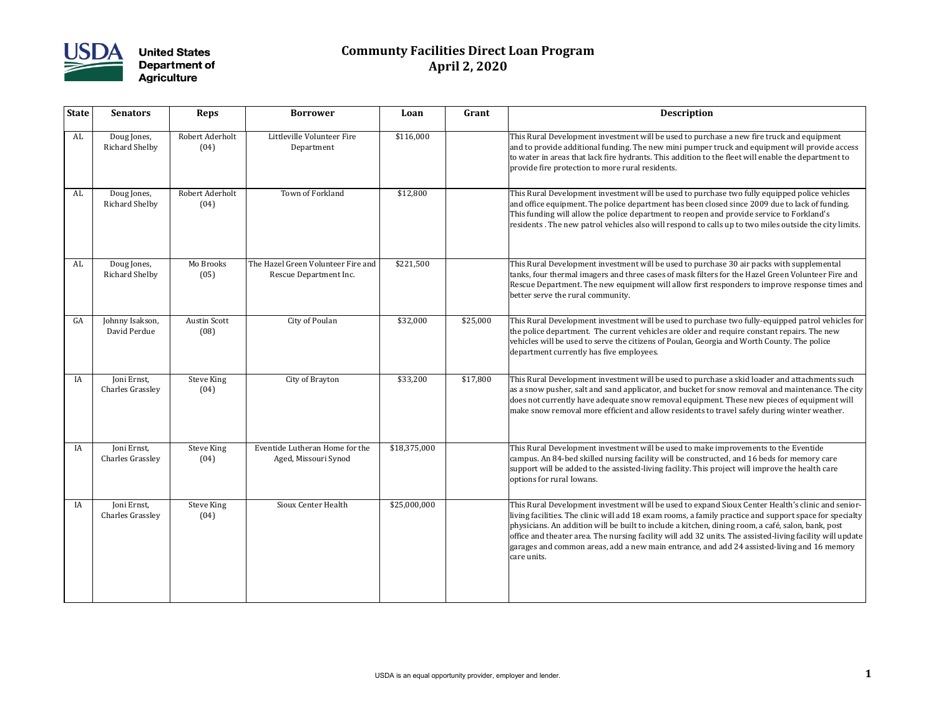

## **Communty Facilities Direct Loan Program April 2, 2020**

| <b>State</b> | <b>Senators</b>                        | <b>Reps</b>                 | <b>Borrower</b>                                              | Loan         | Grant    | Description                                                                                                                                                                                                                                                                                                                    |
|--------------|----------------------------------------|-----------------------------|--------------------------------------------------------------|--------------|----------|--------------------------------------------------------------------------------------------------------------------------------------------------------------------------------------------------------------------------------------------------------------------------------------------------------------------------------|
| AL           | Doug Jones,<br><b>Richard Shelby</b>   | Robert Aderholt<br>(04)     | Littleville Volunteer Fire<br>Department                     | \$116,000    |          | This Rural Development investment will be used to purcl<br>and to provide additional funding. The new mini pumper<br>to water in areas that lack fire hydrants. This addition to<br>provide fire protection to more rural residents.                                                                                           |
| AL           | Doug Jones,<br><b>Richard Shelby</b>   | Robert Aderholt<br>(04)     | Town of Forkland                                             | \$12,800     |          | This Rural Development investment will be used to purcl<br>and office equipment. The police department has been cl<br>This funding will allow the police department to reopen a<br>residents. The new patrol vehicles also will respond to ca                                                                                  |
| AL           | Doug Jones,<br><b>Richard Shelby</b>   | Mo Brooks<br>(05)           | The Hazel Green Volunteer Fire and<br>Rescue Department Inc. | \$221,500    |          | This Rural Development investment will be used to purcl<br>tanks, four thermal imagers and three cases of mask filter<br>Rescue Department. The new equipment will allow first a<br>better serve the rural community.                                                                                                          |
| GA           | Johnny Isakson,<br>David Perdue        | <b>Austin Scott</b><br>(08) | City of Poulan                                               | \$32,000     | \$25,000 | This Rural Development investment will be used to purcl<br>the police department. The current vehicles are older an<br>vehicles will be used to serve the citizens of Poulan, Geor<br>department currently has five employees.                                                                                                 |
| IA           | Joni Ernst,<br><b>Charles Grassley</b> | <b>Steve King</b><br>(04)   | City of Brayton                                              | \$33,200     | \$17,800 | This Rural Development investment will be used to purcl<br>as a snow pusher, salt and sand applicator, and bucket fo<br>does not currently have adequate snow removal equipme<br>make snow removal more efficient and allow residents to                                                                                       |
| IA           | Joni Ernst,<br><b>Charles Grassley</b> | <b>Steve King</b><br>(04)   | Eventide Lutheran Home for the<br>Aged, Missouri Synod       | \$18,375,000 |          | This Rural Development investment will be used to make<br>campus. An 84-bed skilled nursing facility will be constru<br>support will be added to the assisted-living facility. This p<br>options for rural Iowans.                                                                                                             |
| IA           | Joni Ernst,<br><b>Charles Grassley</b> | <b>Steve King</b><br>(04)   | Sioux Center Health                                          | \$25,000,000 |          | This Rural Development investment will be used to expai<br>living facilities. The clinic will add 18 exam rooms, a fami<br>physicians. An addition will be built to include a kitchen,<br>office and theater area. The nursing facility will add 32 un<br>garages and common areas, add a new main entrance, an<br>care units. |

nent will be used to purchase a new fire truck and equipment ag. The new mini pumper truck and equipment will provide access ydrants. This addition to the fleet will enable the department to rural residents.

nent will be used to purchase two fully equipped police vehicles e department has been closed since 2009 due to lack of funding. te department to reopen and provide service to Forkland's les also will respond to calls up to two miles outside the city limits.

nent will be used to purchase 30 air packs with supplemental three cases of mask filters for the Hazel Green Volunteer Fire and quipment will allow first responders to improve response times and

nent will be used to purchase two fully-equipped patrol vehicles for rent vehicles are older and require constant repairs. The new e citizens of Poulan, Georgia and Worth County. The police mployees.

nent will be used to purchase a skid loader and attachments such applicator, and bucket for snow removal and maintenance. The city te snow removal equipment. These new pieces of equipment will ent and allow residents to travel safely during winter weather.

nent will be used to make improvements to the Eventide ing facility will be constructed, and 16 beds for memory care isted-living facility. This project will improve the health care

nent will be used to expand Sioux Center Health's clinic and seniorld 18 exam rooms, a family practice and support space for specialty puilt to include a kitchen, dining room, a café, salon, bank, post sing facility will add 32 units. The assisted-living facility will update a new main entrance, and add 24 assisted-living and 16 memory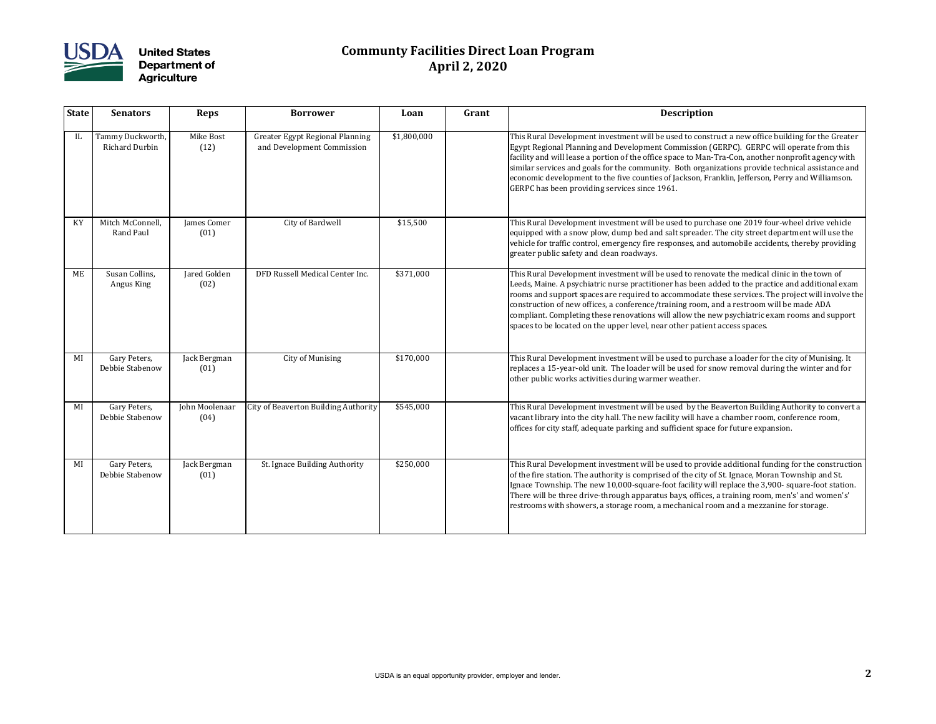

## **Communty Facilities Direct Loan Program April 2, 2020**

| <b>State</b> | <b>Senators</b>                      | <b>Reps</b>            | <b>Borrower</b>                                                      | Loan        | Grant | <b>Description</b>                                                                                                                                                                                                                                                                                                                                                 |
|--------------|--------------------------------------|------------------------|----------------------------------------------------------------------|-------------|-------|--------------------------------------------------------------------------------------------------------------------------------------------------------------------------------------------------------------------------------------------------------------------------------------------------------------------------------------------------------------------|
| IL           | Tammy Duckworth,<br>Richard Durbin   | Mike Bost<br>(12)      | <b>Greater Egypt Regional Planning</b><br>and Development Commission | \$1,800,000 |       | This Rural Development investment will be used to const<br>Egypt Regional Planning and Development Commission (<br>facility and will lease a portion of the office space to Man-<br>similar services and goals for the community. Both orgar<br>economic development to the five counties of Jackson, Fr<br>GERPC has been providing services since 1961.          |
| KY           | Mitch McConnell,<br><b>Rand Paul</b> | James Comer<br>(01)    | City of Bardwell                                                     | \$15,500    |       | This Rural Development investment will be used to purcl<br>equipped with a snow plow, dump bed and salt spreader<br>vehicle for traffic control, emergency fire responses, and<br>greater public safety and clean roadways.                                                                                                                                        |
| ME           | Susan Collins,<br>Angus King         | Jared Golden<br>(02)   | DFD Russell Medical Center Inc.                                      | \$371,000   |       | This Rural Development investment will be used to renov<br>Leeds, Maine. A psychiatric nurse practitioner has been a<br>rooms and support spaces are required to accommodate<br>construction of new offices, a conference/training room,<br>compliant. Completing these renovations will allow the n<br>spaces to be located on the upper level, near other patien |
| MI           | Gary Peters,<br>Debbie Stabenow      | Jack Bergman<br>(01)   | <b>City of Munising</b>                                              | \$170,000   |       | This Rural Development investment will be used to purcl<br>replaces a 15-year-old unit. The loader will be used for s<br>other public works activities during warmer weather.                                                                                                                                                                                      |
| MI           | Gary Peters,<br>Debbie Stabenow      | John Moolenaar<br>(04) | <b>City of Beaverton Building Authority</b>                          | \$545,000   |       | This Rural Development investment will be used by the I<br>vacant library into the city hall. The new facility will have<br>offices for city staff, adequate parking and sufficient spac                                                                                                                                                                           |
| MI           | Gary Peters,<br>Debbie Stabenow      | Jack Bergman<br>(01)   | St. Ignace Building Authority                                        | \$250,000   |       | This Rural Development investment will be used to provi<br>of the fire station. The authority is comprised of the city of<br>Ignace Township. The new 10,000-square-foot facility wi<br>There will be three drive-through apparatus bays, offices<br>restrooms with showers, a storage room, a mechanical ro                                                       |

hent will be used to construct a new office building for the Greater velopment Commission (GERPC). GERPC will operate from this of the office space to Man-Tra-Con, another nonprofit agency with e community. Both organizations provide technical assistance and ve counties of Jackson, Franklin, Jefferson, Perry and Williamson. ices since 1961.

nent will be used to purchase one 2019 four-wheel drive vehicle mp bed and salt spreader. The city street department will use the gency fire responses, and automobile accidents, thereby providing roadways.

nent will be used to renovate the medical clinic in the town of se practitioner has been added to the practice and additional exam equired to accommodate these services. The project will involve the nference/training room, and a restroom will be made ADA novations will allow the new psychiatric exam rooms and support er level, near other patient access spaces.

nent will be used to purchase a loader for the city of Munising. It e loader will be used for snow removal during the winter and for ring warmer weather.

nent will be used by the Beaverton Building Authority to convert a The new facility will have a chamber room, conference room, arking and sufficient space for future expansion.

nent will be used to provide additional funding for the construction is comprised of the city of St. Ignace, Moran Township and St. 00-square-foot facility will replace the 3,900- square-foot station. gh apparatus bays, offices, a training room, men's' and women's' restroom, a mechanical room and a mezzanine for storage.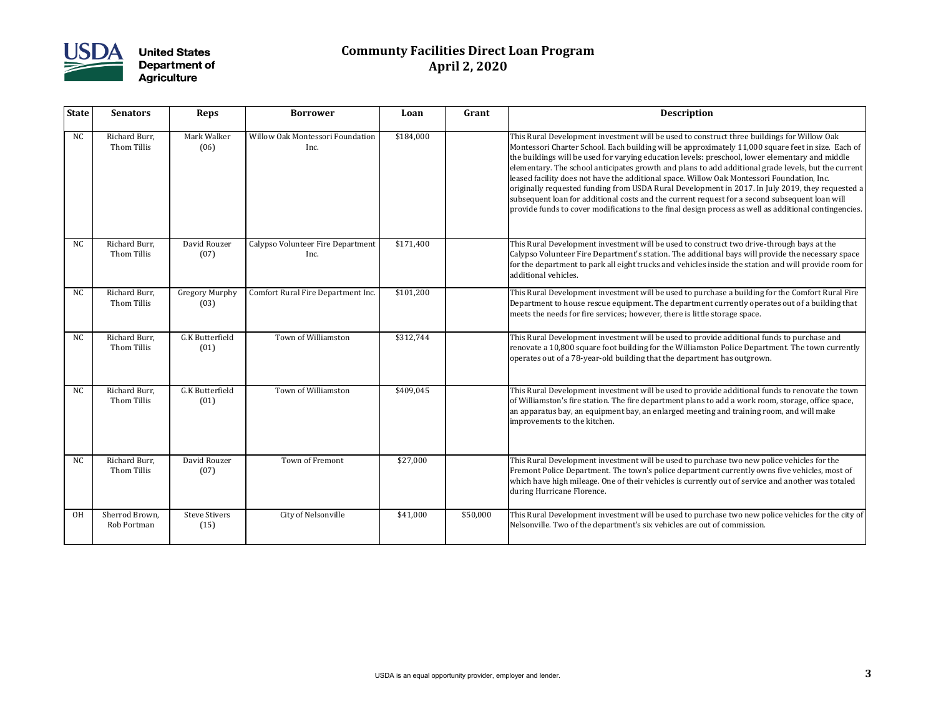

## **Communty Facilities Direct Loan Program April 2, 2020**

| <b>State</b>   | <b>Senators</b>               | <b>Reps</b>                    | <b>Borrower</b>                           | Loan      | Grant    | <b>Description</b>                                                                                                                                                                                                                                                                                                                                                                                                                                                                                   |
|----------------|-------------------------------|--------------------------------|-------------------------------------------|-----------|----------|------------------------------------------------------------------------------------------------------------------------------------------------------------------------------------------------------------------------------------------------------------------------------------------------------------------------------------------------------------------------------------------------------------------------------------------------------------------------------------------------------|
| <b>NC</b>      | Richard Burr,<br>Thom Tillis  | Mark Walker<br>(06)            | Willow Oak Montessori Foundation<br>Inc.  | \$184,000 |          | This Rural Development investment will be used to const<br>Montessori Charter School. Each building will be approxi<br>the buildings will be used for varying education levels: pr<br>elementary. The school anticipates growth and plans to a<br>leased facility does not have the additional space. Willow<br>originally requested funding from USDA Rural Developm<br>subsequent loan for additional costs and the current requ<br>$ $ provide funds to cover modifications to the final design p |
| <b>NC</b>      | Richard Burr,<br>Thom Tillis  | David Rouzer<br>(07)           | Calypso Volunteer Fire Department<br>Inc. | \$171,400 |          | This Rural Development investment will be used to const<br>Calypso Volunteer Fire Department's station. The additio<br>for the department to park all eight trucks and vehicles in<br>additional vehicles.                                                                                                                                                                                                                                                                                           |
| N <sub>C</sub> | Richard Burr,<br>Thom Tillis  | <b>Gregory Murphy</b><br>(03)  | Comfort Rural Fire Department Inc.        | \$101,200 |          | This Rural Development investment will be used to purcl<br>Department to house rescue equipment. The department<br>meets the needs for fire services; however, there is little :                                                                                                                                                                                                                                                                                                                     |
| <b>NC</b>      | Richard Burr,<br>Thom Tillis  | <b>G.K Butterfield</b><br>(01) | Town of Williamston                       | \$312,744 |          | This Rural Development investment will be used to provi<br>renovate a 10,800 square foot building for the Williamsto<br>operates out of a 78-year-old building that the departmer                                                                                                                                                                                                                                                                                                                    |
| <b>NC</b>      | Richard Burr,<br>Thom Tillis  | <b>G.K Butterfield</b><br>(01) | Town of Williamston                       | \$409,045 |          | This Rural Development investment will be used to provi<br>of Williamston's fire station. The fire department plans to<br>$ $ an apparatus bay, an equipment bay, an enlarged meetin $_3$<br>improvements to the kitchen.                                                                                                                                                                                                                                                                            |
| <b>NC</b>      | Richard Burr,<br>Thom Tillis  | David Rouzer<br>(07)           | Town of Fremont                           | \$27,000  |          | This Rural Development investment will be used to purcl<br>Fremont Police Department. The town's police departme<br>which have high mileage. One of their vehicles is currentl<br>during Hurricane Florence.                                                                                                                                                                                                                                                                                         |
| <b>OH</b>      | Sherrod Brown,<br>Rob Portman | <b>Steve Stivers</b><br>(15)   | City of Nelsonville                       | \$41,000  | \$50,000 | This Rural Development investment will be used to purcl<br>Nelsonville. Two of the department's six vehicles are out                                                                                                                                                                                                                                                                                                                                                                                 |

hent will be used to construct three buildings for Willow Oak n building will be approximately 11,000 square feet in size. Each of rying education levels: preschool, lower elementary and middle tes growth and plans to add additional grade levels, but the current additional space. Willow Oak Montessori Foundation, Inc. m USDA Rural Development in 2017. In July 2019, they requested a costs and the current request for a second subsequent loan will tions to the final design process as well as additional contingencies.

nent will be used to construct two drive-through bays at the ent's station. The additional bays will provide the necessary space ight trucks and vehicles inside the station and will provide room for

nent will be used to purchase a building for the Comfort Rural Fire ipment. The department currently operates out of a building that s; however, there is little storage space.

nent will be used to provide additional funds to purchase and uilding for the Williamston Police Department. The town currently iilding that the department has outgrown.

nent will be used to provide additional funds to renovate the town fire department plans to add a work room, storage, office space, t bay, an enlarged meeting and training room, and will make

nent will be used to purchase two new police vehicles for the e town's police department currently owns five vehicles, most of f their vehicles is currently out of service and another was totaled

nent will be used to purchase two new police vehicles for the city of ent's six vehicles are out of commission.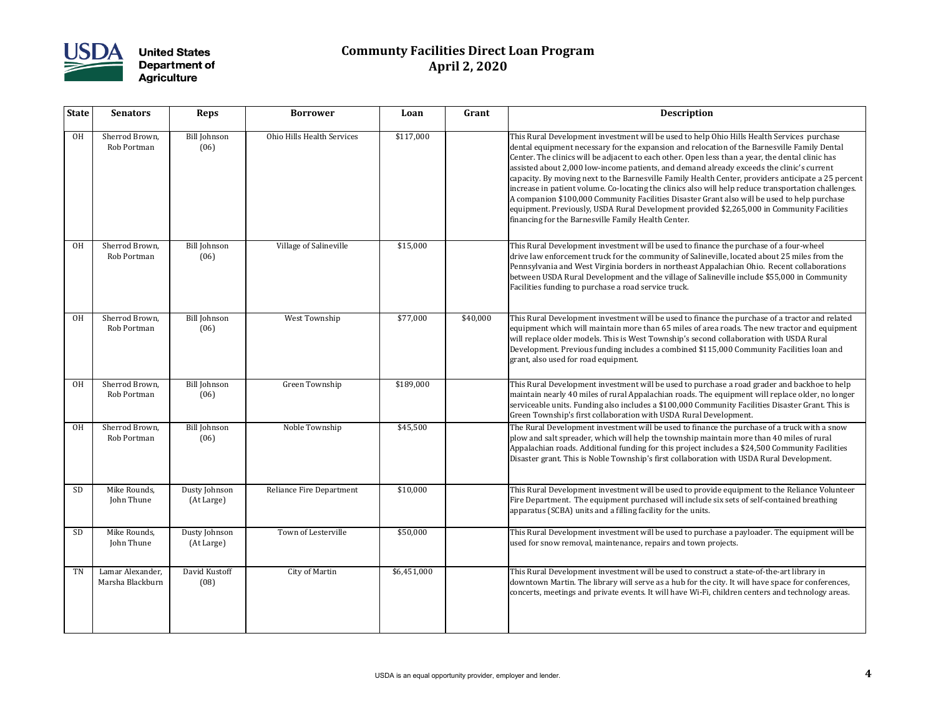

## **Communty Facilities Direct Loan Program April 2, 2020**

| <b>State</b> | <b>Senators</b>                      | <b>Reps</b>                 | <b>Borrower</b>                   | Loan        | Grant    | Description                                                                                                                                                                                                                                                                                                                                                                                                                                                                                                                                           |
|--------------|--------------------------------------|-----------------------------|-----------------------------------|-------------|----------|-------------------------------------------------------------------------------------------------------------------------------------------------------------------------------------------------------------------------------------------------------------------------------------------------------------------------------------------------------------------------------------------------------------------------------------------------------------------------------------------------------------------------------------------------------|
| <b>OH</b>    | Sherrod Brown,<br>Rob Portman        | <b>Bill Johnson</b><br>(06) | <b>Ohio Hills Health Services</b> | \$117,000   |          | This Rural Development investment will be used to help<br>dental equipment necessary for the expansion and reloca<br>Center. The clinics will be adjacent to each other. Open le<br>$ $ assisted about 2,000 low-income patients, and demand a<br>capacity. By moving next to the Barnesville Family Health<br>increase in patient volume. Co-locating the clinics also wi<br>A companion \$100,000 Community Facilities Disaster Gra<br>equipment. Previously, USDA Rural Development provide<br>financing for the Barnesville Family Health Center. |
| <b>OH</b>    | Sherrod Brown,<br>Rob Portman        | <b>Bill Johnson</b><br>(06) | Village of Salineville            | \$15,000    |          | This Rural Development investment will be used to finan<br>drive law enforcement truck for the community of Saline<br>Pennsylvania and West Virginia borders in northeast App<br>between USDA Rural Development and the village of Sali<br>Facilities funding to purchase a road service truck.                                                                                                                                                                                                                                                       |
| <b>OH</b>    | Sherrod Brown,<br>Rob Portman        | <b>Bill Johnson</b><br>(06) | West Township                     | \$77,000    | \$40,000 | This Rural Development investment will be used to finan<br>equipment which will maintain more than 65 miles of are<br>will replace older models. This is West Township's secon<br>Development. Previous funding includes a combined \$11<br>grant, also used for road equipment.                                                                                                                                                                                                                                                                      |
| <b>OH</b>    | Sherrod Brown,<br>Rob Portman        | <b>Bill Johnson</b><br>(06) | Green Township                    | \$189,000   |          | This Rural Development investment will be used to purcl<br>maintain nearly 40 miles of rural Appalachian roads. The<br>serviceable units. Funding also includes a \$100,000 Comi<br>Green Township's first collaboration with USDA Rural De                                                                                                                                                                                                                                                                                                           |
| <b>OH</b>    | Sherrod Brown,<br>Rob Portman        | <b>Bill Johnson</b><br>(06) | Noble Township                    | \$45,500    |          | The Rural Development investment will be used to finano<br>plow and salt spreader, which will help the township mai<br>Appalachian roads. Additional funding for this project ind<br>Disaster grant. This is Noble Township's first collaboratic                                                                                                                                                                                                                                                                                                      |
| <b>SD</b>    | Mike Rounds,<br>John Thune           | Dusty Johnson<br>(At Large) | <b>Reliance Fire Department</b>   | \$10,000    |          | This Rural Development investment will be used to provi<br>Fire Department. The equipment purchased will include<br>apparatus (SCBA) units and a filling facility for the units.                                                                                                                                                                                                                                                                                                                                                                      |
| <b>SD</b>    | Mike Rounds,<br>John Thune           | Dusty Johnson<br>(At Large) | Town of Lesterville               | \$50,000    |          | This Rural Development investment will be used to purcl<br>used for snow removal, maintenance, repairs and town p                                                                                                                                                                                                                                                                                                                                                                                                                                     |
| TN           | Lamar Alexander,<br>Marsha Blackburn | David Kustoff<br>(08)       | <b>City of Martin</b>             | \$6,451,000 |          | This Rural Development investment will be used to const<br>downtown Martin. The library will serve as a hub for the<br>concerts, meetings and private events. It will have Wi-Fi,                                                                                                                                                                                                                                                                                                                                                                     |

nent will be used to help Ohio Hills Health Services purchase the expansion and relocation of the Barnesville Family Dental ent to each other. Open less than a year, the dental clinic has e patients, and demand already exceeds the clinic's current Barnesville Family Health Center, providers anticipate a 25 percent ocating the clinics also will help reduce transportation challenges. nity Facilities Disaster Grant also will be used to help purchase aral Development provided \$2,265,000 in Community Facilities mily Health Center.

nent will be used to finance the purchase of a four-wheel the community of Salineville, located about 25 miles from the borders in northeast Appalachian Ohio. Recent collaborations ent and the village of Salineville include \$55,000 in Community road service truck.

nent will be used to finance the purchase of a tractor and related more than 65 miles of area roads. The new tractor and equipment s West Township's second collaboration with USDA Rural includes a combined \$115,000 Community Facilities loan and<br>nent.

nent will be used to purchase a road grader and backhoe to help al Appalachian roads. The equipment will replace older, no longer ncludes a \$100,000 Community Facilities Disaster Grant. This is ation with USDA Rural Development.

nent will be used to finance the purchase of a truck with a snow vill help the township maintain more than 40 miles of rural unding for this project includes a \$24,500 Community Facilities wnship's first collaboration with USDA Rural Development.

nent will be used to provide equipment to the Reliance Volunteer nt purchased will include six sets of self-contained breathing ling facility for the units.

nent will be used to purchase a payloader. The equipment will be ance, repairs and town projects.

nent will be used to construct a state-of-the-art library in vill serve as a hub for the city. It will have space for conferences, events. It will have Wi-Fi, children centers and technology areas.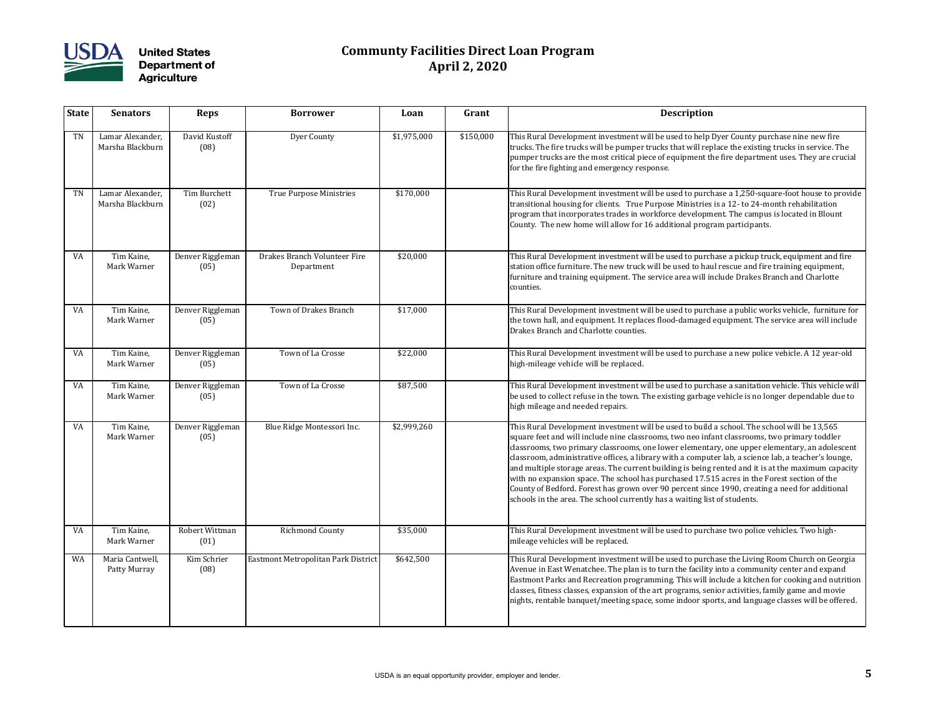

## **Communty Facilities Direct Loan Program April 2, 2020**

| <b>State</b> | <b>Senators</b>                      | <b>Reps</b>              | <b>Borrower</b>                            | Loan        | Grant     | Description                                                                                                                                                                                                                                                                                                                                                                                                                                                                                      |
|--------------|--------------------------------------|--------------------------|--------------------------------------------|-------------|-----------|--------------------------------------------------------------------------------------------------------------------------------------------------------------------------------------------------------------------------------------------------------------------------------------------------------------------------------------------------------------------------------------------------------------------------------------------------------------------------------------------------|
| TN           | Lamar Alexander,<br>Marsha Blackburn | David Kustoff<br>(08)    | <b>Dyer County</b>                         | \$1,975,000 | \$150,000 | This Rural Development investment will be used to help<br>trucks. The fire trucks will be pumper trucks that will rep<br>pumper trucks are the most critical piece of equipment tl<br>for the fire fighting and emergency response.                                                                                                                                                                                                                                                              |
| TN           | Lamar Alexander,<br>Marsha Blackburn | Tim Burchett<br>(02)     | True Purpose Ministries                    | \$170,000   |           | This Rural Development investment will be used to purcl<br>transitional housing for clients. True Purpose Ministries<br>program that incorporates trades in workforce developm<br>County. The new home will allow for 16 additional progr                                                                                                                                                                                                                                                        |
| VA           | Tim Kaine,<br>Mark Warner            | Denver Riggleman<br>(05) | Drakes Branch Volunteer Fire<br>Department | \$20,000    |           | This Rural Development investment will be used to purcl<br>station office furniture. The new truck will be used to hay<br>furniture and training equipment. The service area will ir<br>counties.                                                                                                                                                                                                                                                                                                |
| VA           | Tim Kaine,<br>Mark Warner            | Denver Riggleman<br>(05) | Town of Drakes Branch                      | \$17,000    |           | This Rural Development investment will be used to purcl<br>the town hall, and equipment. It replaces flood-damaged<br>Drakes Branch and Charlotte counties.                                                                                                                                                                                                                                                                                                                                      |
| <b>VA</b>    | Tim Kaine,<br>Mark Warner            | Denver Riggleman<br>(05) | Town of La Crosse                          | \$22,000    |           | This Rural Development investment will be used to purcl<br>high-mileage vehicle will be replaced.                                                                                                                                                                                                                                                                                                                                                                                                |
| VA           | Tim Kaine,<br>Mark Warner            | Denver Riggleman<br>(05) | Town of La Crosse                          | \$87,500    |           | This Rural Development investment will be used to purcl<br>be used to collect refuse in the town. The existing garbage<br>high mileage and needed repairs.                                                                                                                                                                                                                                                                                                                                       |
| VA           | Tim Kaine,<br>Mark Warner            | Denver Riggleman<br>(05) | Blue Ridge Montessori Inc.                 | \$2,999,260 |           | This Rural Development investment will be used to build<br>square feet and will include nine classrooms, two neo infa<br>classrooms, two primary classrooms, one lower elementa<br>classroom, administrative offices, a library with a comput<br>and multiple storage areas. The current building is being<br>with no expansion space. The school has purchased 17.5.<br>County of Bedford. Forest has grown over 90 percent sine<br>schools in the area. The school currently has a waiting lis |
| VA           | Tim Kaine,<br>Mark Warner            | Robert Wittman<br>(01)   | <b>Richmond County</b>                     | \$35,000    |           | This Rural Development investment will be used to purcl<br>mileage vehicles will be replaced.                                                                                                                                                                                                                                                                                                                                                                                                    |
| WA           | Maria Cantwell,<br>Patty Murray      | Kim Schrier<br>(08)      | Eastmont Metropolitan Park District        | \$642,500   |           | This Rural Development investment will be used to purcl<br>Avenue in East Wenatchee. The plan is to turn the facility<br>Eastmont Parks and Recreation programming. This will in<br>classes, fitness classes, expansion of the art programs, ser<br>nights, rentable banquet/meeting space, some indoor spo                                                                                                                                                                                      |

nent will be used to help Dyer County purchase nine new fire imper trucks that will replace the existing trucks in service. The ical piece of equipment the fire department uses. They are crucial ncy response.

nent will be used to purchase a 1,250-square-foot house to provide True Purpose Ministries is a 12- to 24-month rehabilitation es in workforce development. The campus is located in Blount w for 16 additional program participants.

nent will be used to purchase a pickup truck, equipment and fire truck will be used to haul rescue and fire training equipment, nt. The service area will include Drakes Branch and Charlotte

nent will be used to purchase a public works vehicle, furniture for the toplaces flood-damaged equipment. The service area will include unties.

nent will be used to purchase a new police vehicle. A 12 year-old laced.

nent will be used to purchase a sanitation vehicle. This vehicle will own. The existing garbage vehicle is no longer dependable due to

nent will be used to build a school. The school will be 13,565 classrooms, two neo infant classrooms, two primary toddler ooms, one lower elementary, one upper elementary, an adolescent s, a library with a computer lab, a science lab, a teacher's lounge, current building is being rented and it is at the maximum capacity hool has purchased 17.515 acres in the Forest section of the rown over 90 percent since 1990, creating a need for additional urrently has a waiting list of students.

nent will be used to purchase two police vehicles. Two high-<br>d

nent will be used to purchase the Living Room Church on Georgia plan is to turn the facility into a community center and expand programming. This will include a kitchen for cooking and nutrition n of the art programs, senior activities, family game and movie ng space, some indoor sports, and language classes will be offered.